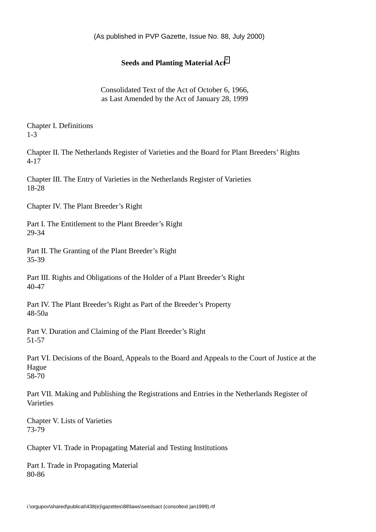(As published in PVP Gazette, Issue No. 88, July 2000)

# **Seeds and Planting Material Act**[\\*](#page-34-0)

Consolidated Text of the Act of October 6, 1966, as Last Amended by the Act of January 28, 1999

Chapter I. Definitions 1-3

Chapter II. The Netherlands Register of Varieties and the Board for Plant Breeders' Rights 4-17

Chapter III. The Entry of Varieties in the Netherlands Register of Varieties 18-28

Chapter IV. The Plant Breeder's Right

Part I. The Entitlement to the Plant Breeder's Right 29-34

Part II. The Granting of the Plant Breeder's Right 35-39

Part III. Rights and Obligations of the Holder of a Plant Breeder's Right 40-47

Part IV. The Plant Breeder's Right as Part of the Breeder's Property 48-50a

Part V. Duration and Claiming of the Plant Breeder's Right 51-57

Part VI. Decisions of the Board, Appeals to the Board and Appeals to the Court of Justice at the Hague 58-70

Part VII. Making and Publishing the Registrations and Entries in the Netherlands Register of Varieties

Chapter V. Lists of Varieties 73-79

Chapter VI. Trade in Propagating Material and Testing Institutions

Part I. Trade in Propagating Material 80-86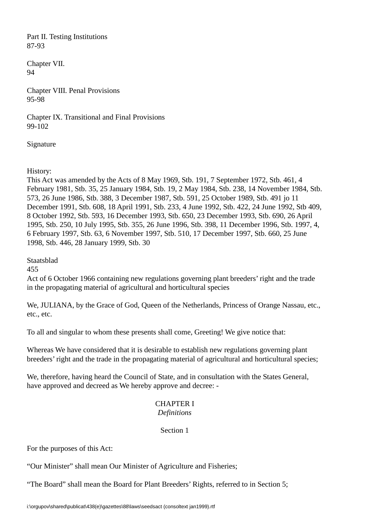Part II. Testing Institutions 87-93

Chapter VII. 94

Chapter VIII. Penal Provisions 95-98

Chapter IX. Transitional and Final Provisions 99-102

Signature

History:

This Act was amended by the Acts of 8 May 1969, Stb. 191, 7 September 1972, Stb. 461, 4 February 1981, Stb. 35, 25 January 1984, Stb. 19, 2 May 1984, Stb. 238, 14 November 1984, Stb. 573, 26 June 1986, Stb. 388, 3 December 1987, Stb. 591, 25 October 1989, Stb. 491 jo 11 December 1991, Stb. 608, 18 April 1991, Stb. 233, 4 June 1992, Stb. 422, 24 June 1992, Stb 409, 8 October 1992, Stb. 593, 16 December 1993, Stb. 650, 23 December 1993, Stb. 690, 26 April 1995, Stb. 250, 10 July 1995, Stb. 355, 26 June 1996, Stb. 398, 11 December 1996, Stb. 1997, 4, 6 February 1997, Stb. 63, 6 November 1997, Stb. 510, 17 December 1997, Stb. 660, 25 June 1998, Stb. 446, 28 January 1999, Stb. 30

Staatsblad

455

Act of 6 October 1966 containing new regulations governing plant breeders' right and the trade in the propagating material of agricultural and horticultural species

We, JULIANA, by the Grace of God, Queen of the Netherlands, Princess of Orange Nassau, etc., etc., etc.

To all and singular to whom these presents shall come, Greeting! We give notice that:

Whereas We have considered that it is desirable to establish new regulations governing plant breeders' right and the trade in the propagating material of agricultural and horticultural species;

We, therefore, having heard the Council of State, and in consultation with the States General, have approved and decreed as We hereby approve and decree: -

# CHAPTER I *Definitions*

# Section 1

For the purposes of this Act:

"Our Minister" shall mean Our Minister of Agriculture and Fisheries;

"The Board" shall mean the Board for Plant Breeders' Rights, referred to in Section 5;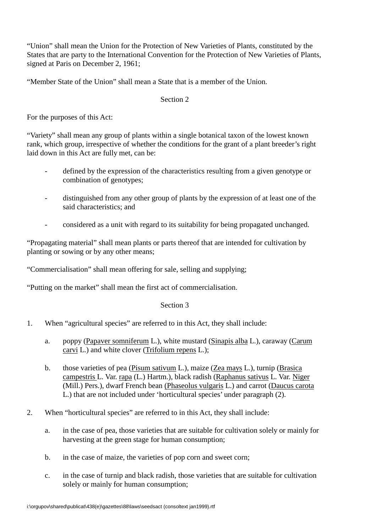"Union" shall mean the Union for the Protection of New Varieties of Plants, constituted by the States that are party to the International Convention for the Protection of New Varieties of Plants, signed at Paris on December 2, 1961;

"Member State of the Union" shall mean a State that is a member of the Union.

# Section 2

For the purposes of this Act:

"Variety" shall mean any group of plants within a single botanical taxon of the lowest known rank, which group, irrespective of whether the conditions for the grant of a plant breeder's right laid down in this Act are fully met, can be:

- defined by the expression of the characteristics resulting from a given genotype or combination of genotypes;
- distinguished from any other group of plants by the expression of at least one of the said characteristics; and
- considered as a unit with regard to its suitability for being propagated unchanged.

"Propagating material" shall mean plants or parts thereof that are intended for cultivation by planting or sowing or by any other means;

"Commercialisation" shall mean offering for sale, selling and supplying;

"Putting on the market" shall mean the first act of commercialisation.

- 1. When "agricultural species" are referred to in this Act, they shall include:
	- a. poppy (Papaver somniferum L.), white mustard (Sinapis alba L.), caraway (Carum carvi L.) and white clover (Trifolium repens L.);
	- b. those varieties of pea (Pisum sativum L.), maize (Zea mays L.), turnip (Brasica campestris L. Var. rapa (L.) Hartm.), black radish (Raphanus sativus L. Var. Niger (Mill.) Pers.), dwarf French bean (Phaseolus vulgaris L.) and carrot (Daucus carota L.) that are not included under 'horticultural species' under paragraph (2).
- 2. When "horticultural species" are referred to in this Act, they shall include:
	- a. in the case of pea, those varieties that are suitable for cultivation solely or mainly for harvesting at the green stage for human consumption;
	- b. in the case of maize, the varieties of pop corn and sweet corn;
	- c. in the case of turnip and black radish, those varieties that are suitable for cultivation solely or mainly for human consumption;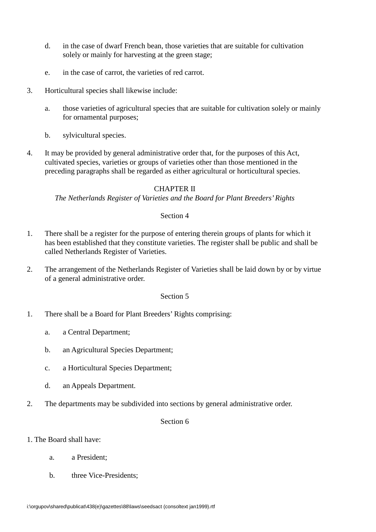- d. in the case of dwarf French bean, those varieties that are suitable for cultivation solely or mainly for harvesting at the green stage;
- e. in the case of carrot, the varieties of red carrot.
- 3. Horticultural species shall likewise include:
	- a. those varieties of agricultural species that are suitable for cultivation solely or mainly for ornamental purposes;
	- b. sylvicultural species.
- 4. It may be provided by general administrative order that, for the purposes of this Act, cultivated species, varieties or groups of varieties other than those mentioned in the preceding paragraphs shall be regarded as either agricultural or horticultural species.

# CHAPTER II

*The Netherlands Register of Varieties and the Board for Plant Breeders' Rights*

Section 4

- 1. There shall be a register for the purpose of entering therein groups of plants for which it has been established that they constitute varieties. The register shall be public and shall be called Netherlands Register of Varieties.
- 2. The arrangement of the Netherlands Register of Varieties shall be laid down by or by virtue of a general administrative order.

#### Section 5

- 1. There shall be a Board for Plant Breeders' Rights comprising:
	- a. a Central Department;
	- b. an Agricultural Species Department;
	- c. a Horticultural Species Department;
	- d. an Appeals Department.
- 2. The departments may be subdivided into sections by general administrative order.

Section 6

### 1. The Board shall have:

- a. a President;
- b. three Vice-Presidents;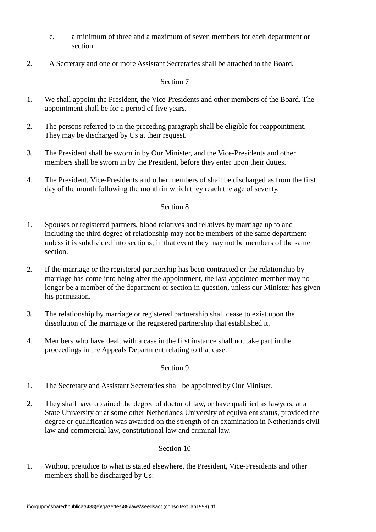- c. a minimum of three and a maximum of seven members for each department or section.
- 2. A Secretary and one or more Assistant Secretaries shall be attached to the Board.

- 1. We shall appoint the President, the Vice-Presidents and other members of the Board. The appointment shall be for a period of five years.
- 2. The persons referred to in the preceding paragraph shall be eligible for reappointment. They may be discharged by Us at their request.
- 3. The President shall be sworn in by Our Minister, and the Vice-Presidents and other members shall be sworn in by the President, before they enter upon their duties.
- 4. The President, Vice-Presidents and other members of shall be discharged as from the first day of the month following the month in which they reach the age of seventy.

## Section 8

- 1. Spouses or registered partners, blood relatives and relatives by marriage up to and including the third degree of relationship may not be members of the same department unless it is subdivided into sections; in that event they may not be members of the same section.
- 2. If the marriage or the registered partnership has been contracted or the relationship by marriage has come into being after the appointment, the last-appointed member may no longer be a member of the department or section in question, unless our Minister has given his permission.
- 3. The relationship by marriage or registered partnership shall cease to exist upon the dissolution of the marriage or the registered partnership that established it.
- 4. Members who have dealt with a case in the first instance shall not take part in the proceedings in the Appeals Department relating to that case.

### Section 9

- 1. The Secretary and Assistant Secretaries shall be appointed by Our Minister.
- 2. They shall have obtained the degree of doctor of law, or have qualified as lawyers, at a State University or at some other Netherlands University of equivalent status, provided the degree or qualification was awarded on the strength of an examination in Netherlands civil law and commercial law, constitutional law and criminal law.

# Section 10

1. Without prejudice to what is stated elsewhere, the President, Vice-Presidents and other members shall be discharged by Us: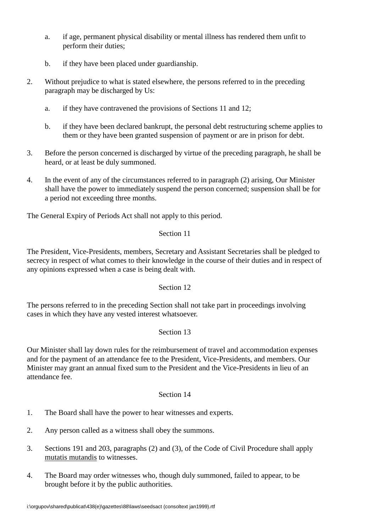- a. if age, permanent physical disability or mental illness has rendered them unfit to perform their duties;
- b. if they have been placed under guardianship.
- 2. Without prejudice to what is stated elsewhere, the persons referred to in the preceding paragraph may be discharged by Us:
	- a. if they have contravened the provisions of Sections 11 and 12;
	- b. if they have been declared bankrupt, the personal debt restructuring scheme applies to them or they have been granted suspension of payment or are in prison for debt.
- 3. Before the person concerned is discharged by virtue of the preceding paragraph, he shall be heard, or at least be duly summoned.
- 4. In the event of any of the circumstances referred to in paragraph (2) arising, Our Minister shall have the power to immediately suspend the person concerned; suspension shall be for a period not exceeding three months.

The General Expiry of Periods Act shall not apply to this period.

# Section 11

The President, Vice-Presidents, members, Secretary and Assistant Secretaries shall be pledged to secrecy in respect of what comes to their knowledge in the course of their duties and in respect of any opinions expressed when a case is being dealt with.

# Section 12

The persons referred to in the preceding Section shall not take part in proceedings involving cases in which they have any vested interest whatsoever.

# Section 13

Our Minister shall lay down rules for the reimbursement of travel and accommodation expenses and for the payment of an attendance fee to the President, Vice-Presidents, and members. Our Minister may grant an annual fixed sum to the President and the Vice-Presidents in lieu of an attendance fee.

- 1. The Board shall have the power to hear witnesses and experts.
- 2. Any person called as a witness shall obey the summons.
- 3. Sections 191 and 203, paragraphs (2) and (3), of the Code of Civil Procedure shall apply mutatis mutandis to witnesses.
- 4. The Board may order witnesses who, though duly summoned, failed to appear, to be brought before it by the public authorities.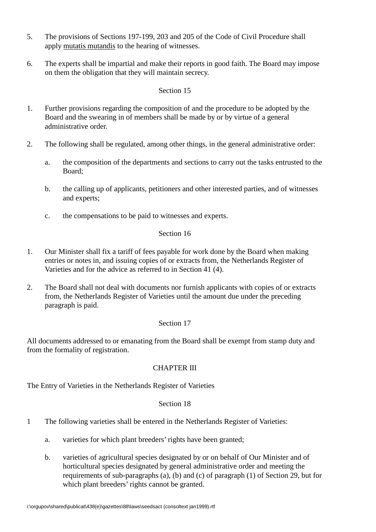- 5. The provisions of Sections 197-199, 203 and 205 of the Code of Civil Procedure shall apply mutatis mutandis to the hearing of witnesses.
- 6. The experts shall be impartial and make their reports in good faith. The Board may impose on them the obligation that they will maintain secrecy.

- 1. Further provisions regarding the composition of and the procedure to be adopted by the Board and the swearing in of members shall be made by or by virtue of a general administrative order.
- 2. The following shall be regulated, among other things, in the general administrative order:
	- a. the composition of the departments and sections to carry out the tasks entrusted to the Board;
	- b. the calling up of applicants, petitioners and other interested parties, and of witnesses and experts;
	- c. the compensations to be paid to witnesses and experts.

## Section 16

- 1. Our Minister shall fix a tariff of fees payable for work done by the Board when making entries or notes in, and issuing copies of or extracts from, the Netherlands Register of Varieties and for the advice as referred to in Section 41 (4).
- 2. The Board shall not deal with documents nor furnish applicants with copies of or extracts from, the Netherlands Register of Varieties until the amount due under the preceding paragraph is paid.

# Section 17

All documents addressed to or emanating from the Board shall be exempt from stamp duty and from the formality of registration.

# CHAPTER III

The Entry of Varieties in the Netherlands Register of Varieties

- 1 The following varieties shall be entered in the Netherlands Register of Varieties:
	- a. varieties for which plant breeders' rights have been granted;
	- b. varieties of agricultural species designated by or on behalf of Our Minister and of horticultural species designated by general administrative order and meeting the requirements of sub-paragraphs (a), (b) and (c) of paragraph (1) of Section 29, but for which plant breeders' rights cannot be granted.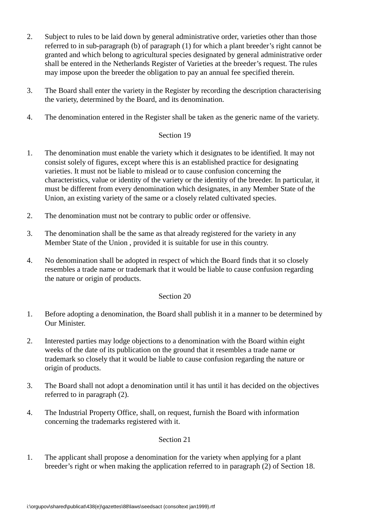- 2. Subject to rules to be laid down by general administrative order, varieties other than those referred to in sub-paragraph (b) of paragraph (1) for which a plant breeder's right cannot be granted and which belong to agricultural species designated by general administrative order shall be entered in the Netherlands Register of Varieties at the breeder's request. The rules may impose upon the breeder the obligation to pay an annual fee specified therein.
- 3. The Board shall enter the variety in the Register by recording the description characterising the variety, determined by the Board, and its denomination.
- 4. The denomination entered in the Register shall be taken as the generic name of the variety.

- 1. The denomination must enable the variety which it designates to be identified. It may not consist solely of figures, except where this is an established practice for designating varieties. It must not be liable to mislead or to cause confusion concerning the characteristics, value or identity of the variety or the identity of the breeder. In particular, it must be different from every denomination which designates, in any Member State of the Union, an existing variety of the same or a closely related cultivated species.
- 2. The denomination must not be contrary to public order or offensive.
- 3. The denomination shall be the same as that already registered for the variety in any Member State of the Union , provided it is suitable for use in this country.
- 4. No denomination shall be adopted in respect of which the Board finds that it so closely resembles a trade name or trademark that it would be liable to cause confusion regarding the nature or origin of products.

### Section 20

- 1. Before adopting a denomination, the Board shall publish it in a manner to be determined by Our Minister.
- 2. Interested parties may lodge objections to a denomination with the Board within eight weeks of the date of its publication on the ground that it resembles a trade name or trademark so closely that it would be liable to cause confusion regarding the nature or origin of products.
- 3. The Board shall not adopt a denomination until it has until it has decided on the objectives referred to in paragraph (2).
- 4. The Industrial Property Office, shall, on request, furnish the Board with information concerning the trademarks registered with it.

### Section 21

1. The applicant shall propose a denomination for the variety when applying for a plant breeder's right or when making the application referred to in paragraph (2) of Section 18.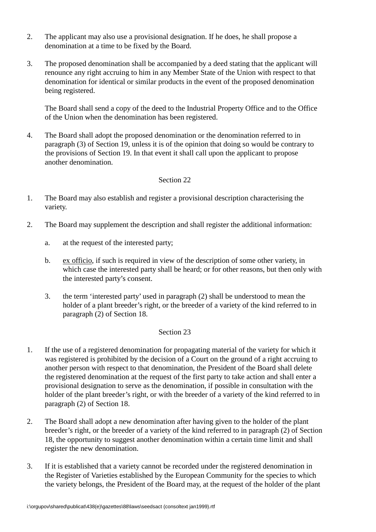- 2. The applicant may also use a provisional designation. If he does, he shall propose a denomination at a time to be fixed by the Board.
- 3. The proposed denomination shall be accompanied by a deed stating that the applicant will renounce any right accruing to him in any Member State of the Union with respect to that denomination for identical or similar products in the event of the proposed denomination being registered.

The Board shall send a copy of the deed to the Industrial Property Office and to the Office of the Union when the denomination has been registered.

4. The Board shall adopt the proposed denomination or the denomination referred to in paragraph (3) of Section 19, unless it is of the opinion that doing so would be contrary to the provisions of Section 19. In that event it shall call upon the applicant to propose another denomination.

### Section 22

- 1. The Board may also establish and register a provisional description characterising the variety.
- 2. The Board may supplement the description and shall register the additional information:
	- a. at the request of the interested party;
	- b. ex officio, if such is required in view of the description of some other variety, in which case the interested party shall be heard; or for other reasons, but then only with the interested party's consent.
	- 3. the term 'interested party' used in paragraph (2) shall be understood to mean the holder of a plant breeder's right, or the breeder of a variety of the kind referred to in paragraph (2) of Section 18.

- 1. If the use of a registered denomination for propagating material of the variety for which it was registered is prohibited by the decision of a Court on the ground of a right accruing to another person with respect to that denomination, the President of the Board shall delete the registered denomination at the request of the first party to take action and shall enter a provisional designation to serve as the denomination, if possible in consultation with the holder of the plant breeder's right, or with the breeder of a variety of the kind referred to in paragraph (2) of Section 18.
- 2. The Board shall adopt a new denomination after having given to the holder of the plant breeder's right, or the breeder of a variety of the kind referred to in paragraph (2) of Section 18, the opportunity to suggest another denomination within a certain time limit and shall register the new denomination.
- 3. If it is established that a variety cannot be recorded under the registered denomination in the Register of Varieties established by the European Community for the species to which the variety belongs, the President of the Board may, at the request of the holder of the plant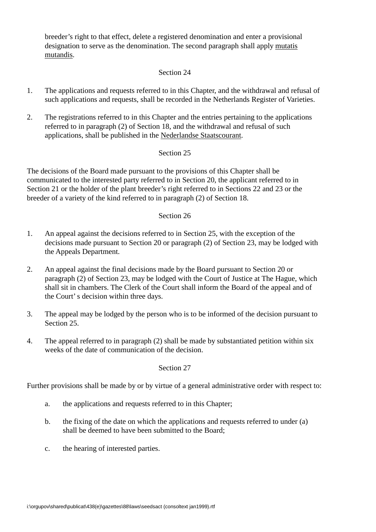breeder's right to that effect, delete a registered denomination and enter a provisional designation to serve as the denomination. The second paragraph shall apply mutatis mutandis.

# Section 24

- 1. The applications and requests referred to in this Chapter, and the withdrawal and refusal of such applications and requests, shall be recorded in the Netherlands Register of Varieties.
- 2. The registrations referred to in this Chapter and the entries pertaining to the applications referred to in paragraph (2) of Section 18, and the withdrawal and refusal of such applications, shall be published in the Nederlandse Staatscourant.

# Section 25

The decisions of the Board made pursuant to the provisions of this Chapter shall be communicated to the interested party referred to in Section 20, the applicant referred to in Section 21 or the holder of the plant breeder's right referred to in Sections 22 and 23 or the breeder of a variety of the kind referred to in paragraph (2) of Section 18.

### Section 26

- 1. An appeal against the decisions referred to in Section 25, with the exception of the decisions made pursuant to Section 20 or paragraph (2) of Section 23, may be lodged with the Appeals Department.
- 2. An appeal against the final decisions made by the Board pursuant to Section 20 or paragraph (2) of Section 23, may be lodged with the Court of Justice at The Hague, which shall sit in chambers. The Clerk of the Court shall inform the Board of the appeal and of the Court' s decision within three days.
- 3. The appeal may be lodged by the person who is to be informed of the decision pursuant to Section 25
- 4. The appeal referred to in paragraph (2) shall be made by substantiated petition within six weeks of the date of communication of the decision.

### Section 27

Further provisions shall be made by or by virtue of a general administrative order with respect to:

- a. the applications and requests referred to in this Chapter;
- b. the fixing of the date on which the applications and requests referred to under (a) shall be deemed to have been submitted to the Board;
- c. the hearing of interested parties.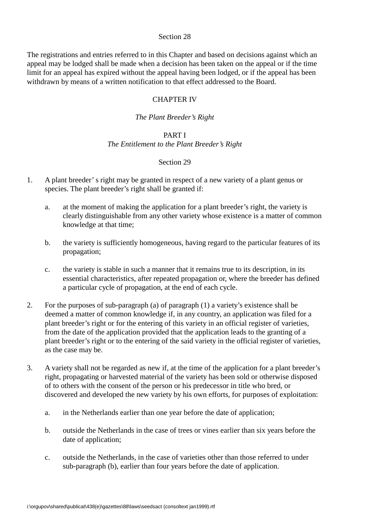The registrations and entries referred to in this Chapter and based on decisions against which an appeal may be lodged shall be made when a decision has been taken on the appeal or if the time limit for an appeal has expired without the appeal having been lodged, or if the appeal has been withdrawn by means of a written notification to that effect addressed to the Board.

### CHAPTER IV

## *The Plant Breeder's Right*

### PART I

# *The Entitlement to the Plant Breeder's Right*

- 1. A plant breeder' s right may be granted in respect of a new variety of a plant genus or species. The plant breeder's right shall be granted if:
	- a. at the moment of making the application for a plant breeder's right, the variety is clearly distinguishable from any other variety whose existence is a matter of common knowledge at that time;
	- b. the variety is sufficiently homogeneous, having regard to the particular features of its propagation;
	- c. the variety is stable in such a manner that it remains true to its description, in its essential characteristics, after repeated propagation or, where the breeder has defined a particular cycle of propagation, at the end of each cycle.
- 2. For the purposes of sub-paragraph (a) of paragraph (1) a variety's existence shall be deemed a matter of common knowledge if, in any country, an application was filed for a plant breeder's right or for the entering of this variety in an official register of varieties, from the date of the application provided that the application leads to the granting of a plant breeder's right or to the entering of the said variety in the official register of varieties, as the case may be.
- 3. A variety shall not be regarded as new if, at the time of the application for a plant breeder's right, propagating or harvested material of the variety has been sold or otherwise disposed of to others with the consent of the person or his predecessor in title who bred, or discovered and developed the new variety by his own efforts, for purposes of exploitation:
	- a. in the Netherlands earlier than one year before the date of application;
	- b. outside the Netherlands in the case of trees or vines earlier than six years before the date of application;
	- c. outside the Netherlands, in the case of varieties other than those referred to under sub-paragraph (b), earlier than four years before the date of application.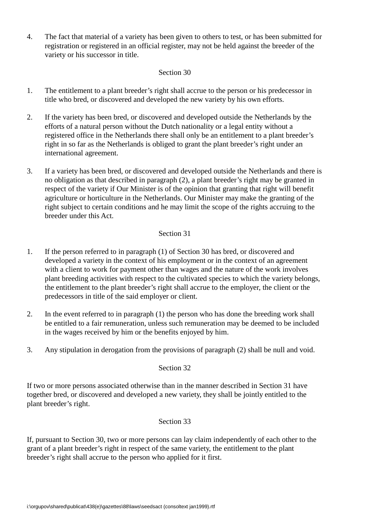4. The fact that material of a variety has been given to others to test, or has been submitted for registration or registered in an official register, may not be held against the breeder of the variety or his successor in title.

## Section 30

- 1. The entitlement to a plant breeder's right shall accrue to the person or his predecessor in title who bred, or discovered and developed the new variety by his own efforts.
- 2. If the variety has been bred, or discovered and developed outside the Netherlands by the efforts of a natural person without the Dutch nationality or a legal entity without a registered office in the Netherlands there shall only be an entitlement to a plant breeder's right in so far as the Netherlands is obliged to grant the plant breeder's right under an international agreement.
- 3. If a variety has been bred, or discovered and developed outside the Netherlands and there is no obligation as that described in paragraph (2), a plant breeder's right may be granted in respect of the variety if Our Minister is of the opinion that granting that right will benefit agriculture or horticulture in the Netherlands. Our Minister may make the granting of the right subject to certain conditions and he may limit the scope of the rights accruing to the breeder under this Act.

# Section 31

- 1. If the person referred to in paragraph (1) of Section 30 has bred, or discovered and developed a variety in the context of his employment or in the context of an agreement with a client to work for payment other than wages and the nature of the work involves plant breeding activities with respect to the cultivated species to which the variety belongs, the entitlement to the plant breeder's right shall accrue to the employer, the client or the predecessors in title of the said employer or client.
- 2. In the event referred to in paragraph (1) the person who has done the breeding work shall be entitled to a fair remuneration, unless such remuneration may be deemed to be included in the wages received by him or the benefits enjoyed by him.
- 3. Any stipulation in derogation from the provisions of paragraph (2) shall be null and void.

### Section 32

If two or more persons associated otherwise than in the manner described in Section 31 have together bred, or discovered and developed a new variety, they shall be jointly entitled to the plant breeder's right.

### Section 33

If, pursuant to Section 30, two or more persons can lay claim independently of each other to the grant of a plant breeder's right in respect of the same variety, the entitlement to the plant breeder's right shall accrue to the person who applied for it first.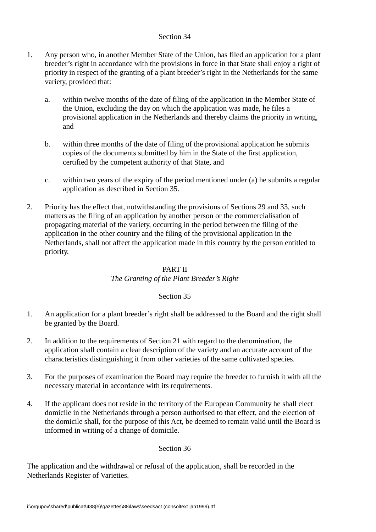- 1. Any person who, in another Member State of the Union, has filed an application for a plant breeder's right in accordance with the provisions in force in that State shall enjoy a right of priority in respect of the granting of a plant breeder's right in the Netherlands for the same variety, provided that:
	- a. within twelve months of the date of filing of the application in the Member State of the Union, excluding the day on which the application was made, he files a provisional application in the Netherlands and thereby claims the priority in writing, and
	- b. within three months of the date of filing of the provisional application he submits copies of the documents submitted by him in the State of the first application, certified by the competent authority of that State, and
	- c. within two years of the expiry of the period mentioned under (a) he submits a regular application as described in Section 35.
- 2. Priority has the effect that, notwithstanding the provisions of Sections 29 and 33, such matters as the filing of an application by another person or the commercialisation of propagating material of the variety, occurring in the period between the filing of the application in the other country and the filing of the provisional application in the Netherlands, shall not affect the application made in this country by the person entitled to priority.

# PART II

# *The Granting of the Plant Breeder's Right*

### Section 35

- 1. An application for a plant breeder's right shall be addressed to the Board and the right shall be granted by the Board.
- 2. In addition to the requirements of Section 21 with regard to the denomination, the application shall contain a clear description of the variety and an accurate account of the characteristics distinguishing it from other varieties of the same cultivated species.
- 3. For the purposes of examination the Board may require the breeder to furnish it with all the necessary material in accordance with its requirements.
- 4. If the applicant does not reside in the territory of the European Community he shall elect domicile in the Netherlands through a person authorised to that effect, and the election of the domicile shall, for the purpose of this Act, be deemed to remain valid until the Board is informed in writing of a change of domicile.

# Section 36

The application and the withdrawal or refusal of the application, shall be recorded in the Netherlands Register of Varieties.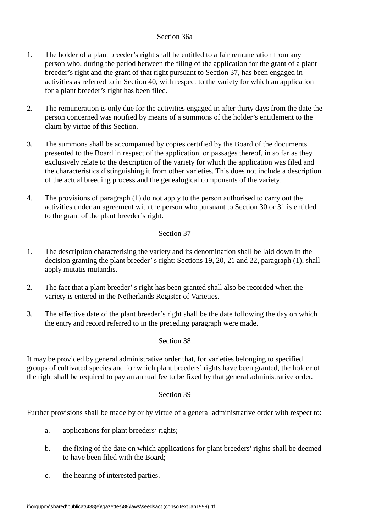# Section 36a

- 1. The holder of a plant breeder's right shall be entitled to a fair remuneration from any person who, during the period between the filing of the application for the grant of a plant breeder's right and the grant of that right pursuant to Section 37, has been engaged in activities as referred to in Section 40, with respect to the variety for which an application for a plant breeder's right has been filed.
- 2. The remuneration is only due for the activities engaged in after thirty days from the date the person concerned was notified by means of a summons of the holder's entitlement to the claim by virtue of this Section.
- 3. The summons shall be accompanied by copies certified by the Board of the documents presented to the Board in respect of the application, or passages thereof, in so far as they exclusively relate to the description of the variety for which the application was filed and the characteristics distinguishing it from other varieties. This does not include a description of the actual breeding process and the genealogical components of the variety.
- 4. The provisions of paragraph (1) do not apply to the person authorised to carry out the activities under an agreement with the person who pursuant to Section 30 or 31 is entitled to the grant of the plant breeder's right.

# Section 37

- 1. The description characterising the variety and its denomination shall be laid down in the decision granting the plant breeder' s right: Sections 19, 20, 21 and 22, paragraph (1), shall apply mutatis mutandis.
- 2. The fact that a plant breeder' s right has been granted shall also be recorded when the variety is entered in the Netherlands Register of Varieties.
- 3. The effective date of the plant breeder's right shall be the date following the day on which the entry and record referred to in the preceding paragraph were made.

### Section 38

It may be provided by general administrative order that, for varieties belonging to specified groups of cultivated species and for which plant breeders' rights have been granted, the holder of the right shall be required to pay an annual fee to be fixed by that general administrative order.

### Section 39

Further provisions shall be made by or by virtue of a general administrative order with respect to:

- a. applications for plant breeders' rights;
- b. the fixing of the date on which applications for plant breeders' rights shall be deemed to have been filed with the Board;
- c. the hearing of interested parties.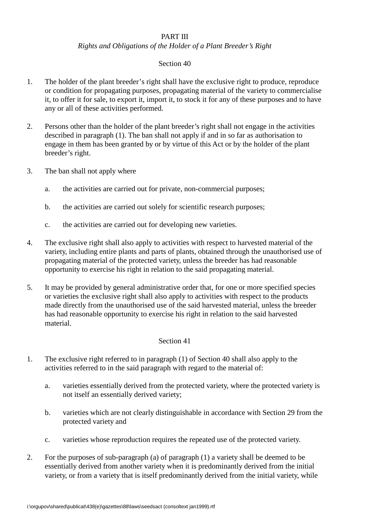# PART III

# *Rights and Obligations of the Holder of a Plant Breeder's Right*

# Section 40

- 1. The holder of the plant breeder's right shall have the exclusive right to produce, reproduce or condition for propagating purposes, propagating material of the variety to commercialise it, to offer it for sale, to export it, import it, to stock it for any of these purposes and to have any or all of these activities performed.
- 2. Persons other than the holder of the plant breeder's right shall not engage in the activities described in paragraph (1). The ban shall not apply if and in so far as authorisation to engage in them has been granted by or by virtue of this Act or by the holder of the plant breeder's right.
- 3. The ban shall not apply where
	- a. the activities are carried out for private, non-commercial purposes;
	- b. the activities are carried out solely for scientific research purposes;
	- c. the activities are carried out for developing new varieties.
- 4. The exclusive right shall also apply to activities with respect to harvested material of the variety, including entire plants and parts of plants, obtained through the unauthorised use of propagating material of the protected variety, unless the breeder has had reasonable opportunity to exercise his right in relation to the said propagating material.
- 5. It may be provided by general administrative order that, for one or more specified species or varieties the exclusive right shall also apply to activities with respect to the products made directly from the unauthorised use of the said harvested material, unless the breeder has had reasonable opportunity to exercise his right in relation to the said harvested material.

- 1. The exclusive right referred to in paragraph (1) of Section 40 shall also apply to the activities referred to in the said paragraph with regard to the material of:
	- a. varieties essentially derived from the protected variety, where the protected variety is not itself an essentially derived variety;
	- b. varieties which are not clearly distinguishable in accordance with Section 29 from the protected variety and
	- c. varieties whose reproduction requires the repeated use of the protected variety.
- 2. For the purposes of sub-paragraph (a) of paragraph (1) a variety shall be deemed to be essentially derived from another variety when it is predominantly derived from the initial variety, or from a variety that is itself predominantly derived from the initial variety, while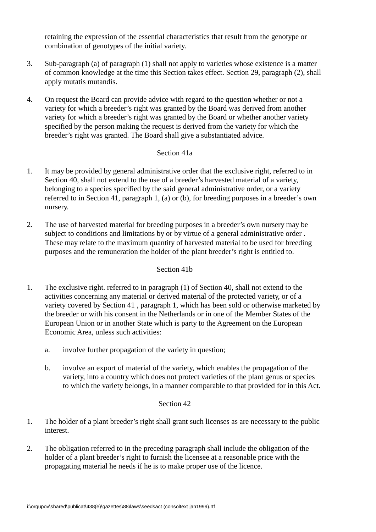retaining the expression of the essential characteristics that result from the genotype or combination of genotypes of the initial variety.

- 3. Sub-paragraph (a) of paragraph (1) shall not apply to varieties whose existence is a matter of common knowledge at the time this Section takes effect. Section 29, paragraph (2), shall apply mutatis mutandis.
- 4. On request the Board can provide advice with regard to the question whether or not a variety for which a breeder's right was granted by the Board was derived from another variety for which a breeder's right was granted by the Board or whether another variety specified by the person making the request is derived from the variety for which the breeder's right was granted. The Board shall give a substantiated advice.

### Section 41a

- 1. It may be provided by general administrative order that the exclusive right, referred to in Section 40, shall not extend to the use of a breeder's harvested material of a variety, belonging to a species specified by the said general administrative order, or a variety referred to in Section 41, paragraph 1, (a) or (b), for breeding purposes in a breeder's own nursery.
- 2. The use of harvested material for breeding purposes in a breeder's own nursery may be subject to conditions and limitations by or by virtue of a general administrative order . These may relate to the maximum quantity of harvested material to be used for breeding purposes and the remuneration the holder of the plant breeder's right is entitled to.

## Section 41b

- 1. The exclusive right. referred to in paragraph (1) of Section 40, shall not extend to the activities concerning any material or derived material of the protected variety, or of a variety covered by Section 41 , paragraph 1, which has been sold or otherwise marketed by the breeder or with his consent in the Netherlands or in one of the Member States of the European Union or in another State which is party to the Agreement on the European Economic Area, unless such activities:
	- a. involve further propagation of the variety in question;
	- b. involve an export of material of the variety, which enables the propagation of the variety, into a country which does not protect varieties of the plant genus or species to which the variety belongs, in a manner comparable to that provided for in this Act.

- 1. The holder of a plant breeder's right shall grant such licenses as are necessary to the public interest.
- 2. The obligation referred to in the preceding paragraph shall include the obligation of the holder of a plant breeder's right to furnish the licensee at a reasonable price with the propagating material he needs if he is to make proper use of the licence.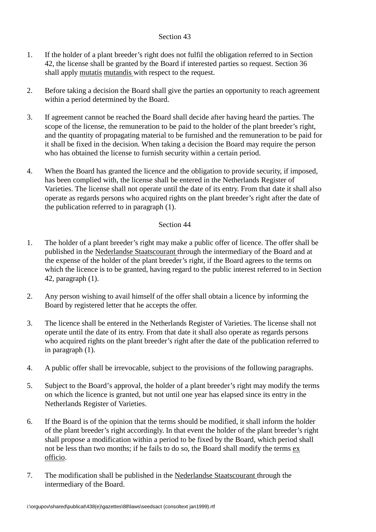- 1. If the holder of a plant breeder's right does not fulfil the obligation referred to in Section 42, the license shall be granted by the Board if interested parties so request. Section 36 shall apply mutatis mutandis with respect to the request.
- 2. Before taking a decision the Board shall give the parties an opportunity to reach agreement within a period determined by the Board.
- 3. If agreement cannot be reached the Board shall decide after having heard the parties. The scope of the license, the remuneration to be paid to the holder of the plant breeder's right, and the quantity of propagating material to be furnished and the remuneration to be paid for it shall be fixed in the decision. When taking a decision the Board may require the person who has obtained the license to furnish security within a certain period.
- 4. When the Board has granted the licence and the obligation to provide security, if imposed, has been complied with, the license shall be entered in the Netherlands Register of Varieties. The license shall not operate until the date of its entry. From that date it shall also operate as regards persons who acquired rights on the plant breeder's right after the date of the publication referred to in paragraph (1).

- 1. The holder of a plant breeder's right may make a public offer of licence. The offer shall be published in the Nederlandse Staatscourant through the intermediary of the Board and at the expense of the holder of the plant breeder's right, if the Board agrees to the terms on which the licence is to be granted, having regard to the public interest referred to in Section 42, paragraph (1).
- 2. Any person wishing to avail himself of the offer shall obtain a licence by informing the Board by registered letter that he accepts the offer.
- 3. The licence shall be entered in the Netherlands Register of Varieties. The license shall not operate until the date of its entry. From that date it shall also operate as regards persons who acquired rights on the plant breeder's right after the date of the publication referred to in paragraph (1).
- 4. A public offer shall be irrevocable, subject to the provisions of the following paragraphs.
- 5. Subject to the Board's approval, the holder of a plant breeder's right may modify the terms on which the licence is granted, but not until one year has elapsed since its entry in the Netherlands Register of Varieties.
- 6. If the Board is of the opinion that the terms should be modified, it shall inform the holder of the plant breeder's right accordingly. In that event the holder of the plant breeder's right shall propose a modification within a period to be fixed by the Board, which period shall not be less than two months; if he fails to do so, the Board shall modify the terms ex officio.
- 7. The modification shall be published in the Nederlandse Staatscourant through the intermediary of the Board.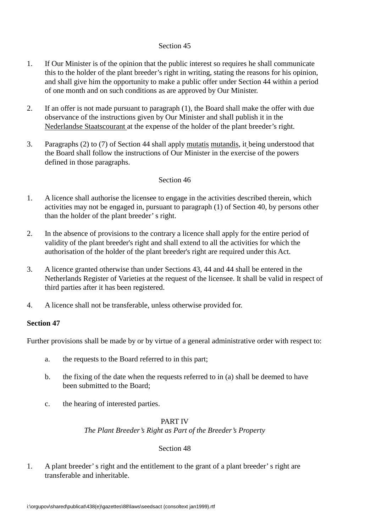- 1. If Our Minister is of the opinion that the public interest so requires he shall communicate this to the holder of the plant breeder's right in writing, stating the reasons for his opinion, and shall give him the opportunity to make a public offer under Section 44 within a period of one month and on such conditions as are approved by Our Minister.
- 2. If an offer is not made pursuant to paragraph (1), the Board shall make the offer with due observance of the instructions given by Our Minister and shall publish it in the Nederlandse Staatscourant at the expense of the holder of the plant breeder's right.
- 3. Paragraphs (2) to (7) of Section 44 shall apply mutatis mutandis, it being understood that the Board shall follow the instructions of Our Minister in the exercise of the powers defined in those paragraphs.

### Section 46

- 1. A licence shall authorise the licensee to engage in the activities described therein, which activities may not be engaged in, pursuant to paragraph (1) of Section 40, by persons other than the holder of the plant breeder' s right.
- 2. In the absence of provisions to the contrary a licence shall apply for the entire period of validity of the plant breeder's right and shall extend to all the activities for which the authorisation of the holder of the plant breeder's right are required under this Act.
- 3. A licence granted otherwise than under Sections 43, 44 and 44 shall be entered in the Netherlands Register of Varieties at the request of the licensee. It shall be valid in respect of third parties after it has been registered.
- 4. A licence shall not be transferable, unless otherwise provided for.

### **Section 47**

Further provisions shall be made by or by virtue of a general administrative order with respect to:

- a. the requests to the Board referred to in this part;
- b. the fixing of the date when the requests referred to in (a) shall be deemed to have been submitted to the Board;
- c. the hearing of interested parties.

### PART IV

*The Plant Breeder's Right as Part of the Breeder's Property*

#### Section 48

1. A plant breeder' s right and the entitlement to the grant of a plant breeder' s right are transferable and inheritable.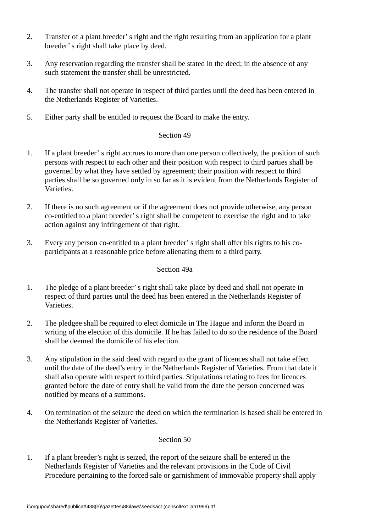- 2. Transfer of a plant breeder' s right and the right resulting from an application for a plant breeder' s right shall take place by deed.
- 3. Any reservation regarding the transfer shall be stated in the deed; in the absence of any such statement the transfer shall be unrestricted.
- 4. The transfer shall not operate in respect of third parties until the deed has been entered in the Netherlands Register of Varieties.
- 5. Either party shall be entitled to request the Board to make the entry.

- 1. If a plant breeder' s right accrues to more than one person collectively, the position of such persons with respect to each other and their position with respect to third parties shall be governed by what they have settled by agreement; their position with respect to third parties shall be so governed only in so far as it is evident from the Netherlands Register of Varieties.
- 2. If there is no such agreement or if the agreement does not provide otherwise, any person co-entitled to a plant breeder' s right shall be competent to exercise the right and to take action against any infringement of that right.
- 3. Every any person co-entitled to a plant breeder' s right shall offer his rights to his coparticipants at a reasonable price before alienating them to a third party.

## Section 49a

- 1. The pledge of a plant breeder' s right shall take place by deed and shall not operate in respect of third parties until the deed has been entered in the Netherlands Register of Varieties.
- 2. The pledgee shall be required to elect domicile in The Hague and inform the Board in writing of the election of this domicile. If he has failed to do so the residence of the Board shall be deemed the domicile of his election.
- 3. Any stipulation in the said deed with regard to the grant of licences shall not take effect until the date of the deed's entry in the Netherlands Register of Varieties. From that date it shall also operate with respect to third parties. Stipulations relating to fees for licences granted before the date of entry shall be valid from the date the person concerned was notified by means of a summons.
- 4. On termination of the seizure the deed on which the termination is based shall be entered in the Netherlands Register of Varieties.

# Section 50

1. If a plant breeder's right is seized, the report of the seizure shall be entered in the Netherlands Register of Varieties and the relevant provisions in the Code of Civil Procedure pertaining to the forced sale or garnishment of immovable property shall apply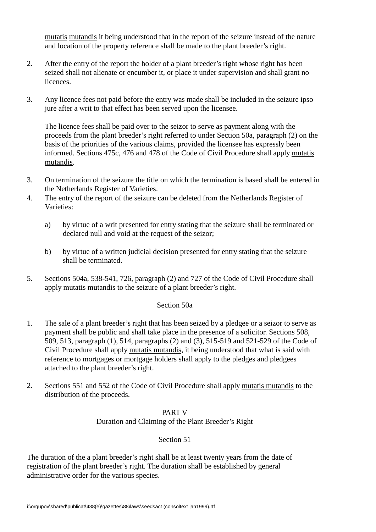mutatis mutandis it being understood that in the report of the seizure instead of the nature and location of the property reference shall be made to the plant breeder's right.

- 2. After the entry of the report the holder of a plant breeder's right whose right has been seized shall not alienate or encumber it, or place it under supervision and shall grant no licences.
- 3. Any licence fees not paid before the entry was made shall be included in the seizure ipso jure after a writ to that effect has been served upon the licensee.

The licence fees shall be paid over to the seizor to serve as payment along with the proceeds from the plant breeder's right referred to under Section 50a, paragraph (2) on the basis of the priorities of the various claims, provided the licensee has expressly been informed. Sections 475c, 476 and 478 of the Code of Civil Procedure shall apply mutatis mutandis.

- 3. On termination of the seizure the title on which the termination is based shall be entered in the Netherlands Register of Varieties.
- 4. The entry of the report of the seizure can be deleted from the Netherlands Register of Varieties:
	- a) by virtue of a writ presented for entry stating that the seizure shall be terminated or declared null and void at the request of the seizor;
	- b) by virtue of a written judicial decision presented for entry stating that the seizure shall be terminated.
- 5. Sections 504a, 538-541, 726, paragraph (2) and 727 of the Code of Civil Procedure shall apply mutatis mutandis to the seizure of a plant breeder's right.

# Section 50a

- 1. The sale of a plant breeder's right that has been seized by a pledgee or a seizor to serve as payment shall be public and shall take place in the presence of a solicitor. Sections 508, 509, 513, paragraph (1), 514, paragraphs (2) and (3), 515-519 and 521-529 of the Code of Civil Procedure shall apply mutatis mutandis, it being understood that what is said with reference to mortgages or mortgage holders shall apply to the pledges and pledgees attached to the plant breeder's right.
- 2. Sections 551 and 552 of the Code of Civil Procedure shall apply mutatis mutandis to the distribution of the proceeds.

# PART V Duration and Claiming of the Plant Breeder's Right

# Section 51

The duration of the a plant breeder's right shall be at least twenty years from the date of registration of the plant breeder's right. The duration shall be established by general administrative order for the various species.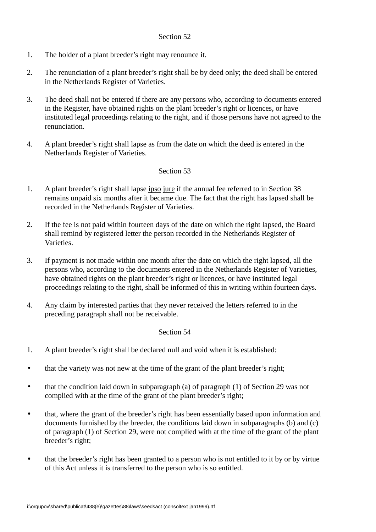- 1. The holder of a plant breeder's right may renounce it.
- 2. The renunciation of a plant breeder's right shall be by deed only; the deed shall be entered in the Netherlands Register of Varieties.
- 3. The deed shall not be entered if there are any persons who, according to documents entered in the Register, have obtained rights on the plant breeder's right or licences, or have instituted legal proceedings relating to the right, and if those persons have not agreed to the renunciation.
- 4. A plant breeder's right shall lapse as from the date on which the deed is entered in the Netherlands Register of Varieties.

# Section 53

- 1. A plant breeder's right shall lapse ipso jure if the annual fee referred to in Section 38 remains unpaid six months after it became due. The fact that the right has lapsed shall be recorded in the Netherlands Register of Varieties.
- 2. If the fee is not paid within fourteen days of the date on which the right lapsed, the Board shall remind by registered letter the person recorded in the Netherlands Register of Varieties.
- 3. If payment is not made within one month after the date on which the right lapsed, all the persons who, according to the documents entered in the Netherlands Register of Varieties, have obtained rights on the plant breeder's right or licences, or have instituted legal proceedings relating to the right, shall be informed of this in writing within fourteen days.
- 4. Any claim by interested parties that they never received the letters referred to in the preceding paragraph shall not be receivable.

- 1. A plant breeder's right shall be declared null and void when it is established:
- that the variety was not new at the time of the grant of the plant breeder's right;
- that the condition laid down in subparagraph (a) of paragraph (1) of Section 29 was not complied with at the time of the grant of the plant breeder's right;
- that, where the grant of the breeder's right has been essentially based upon information and documents furnished by the breeder, the conditions laid down in subparagraphs (b) and (c) of paragraph (1) of Section 29, were not complied with at the time of the grant of the plant breeder's right;
- that the breeder's right has been granted to a person who is not entitled to it by or by virtue of this Act unless it is transferred to the person who is so entitled.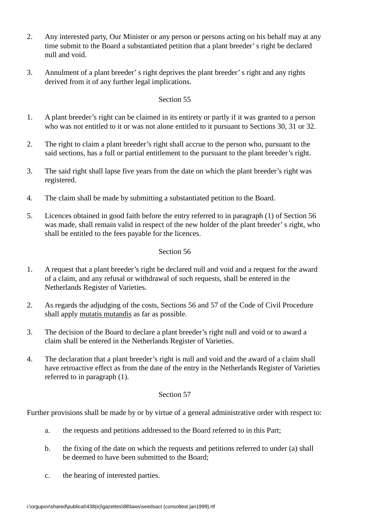- 2. Any interested party, Our Minister or any person or persons acting on his behalf may at any time submit to the Board a substantiated petition that a plant breeder' s right be declared null and void.
- 3. Annulment of a plant breeder' s right deprives the plant breeder' s right and any rights derived from it of any further legal implications.

- 1. A plant breeder's right can be claimed in its entirety or partly if it was granted to a person who was not entitled to it or was not alone entitled to it pursuant to Sections 30, 31 or 32.
- 2. The right to claim a plant breeder's right shall accrue to the person who, pursuant to the said sections, has a full or partial entitlement to the pursuant to the plant breeder's right.
- 3. The said right shall lapse five years from the date on which the plant breeder's right was registered.
- 4. The claim shall be made by submitting a substantiated petition to the Board.
- 5. Licences obtained in good faith before the entry referred to in paragraph (1) of Section 56 was made, shall remain valid in respect of the new holder of the plant breeder' s right, who shall be entitled to the fees payable for the licences.

# Section 56

- 1. A request that a plant breeder's right be declared null and void and a request for the award of a claim, and any refusal or withdrawal of such requests, shall be entered in the Netherlands Register of Varieties.
- 2. As regards the adjudging of the costs, Sections 56 and 57 of the Code of Civil Procedure shall apply mutatis mutandis as far as possible.
- 3. The decision of the Board to declare a plant breeder's right null and void or to award a claim shall be entered in the Netherlands Register of Varieties.
- 4. The declaration that a plant breeder's right is null and void and the award of a claim shall have retroactive effect as from the date of the entry in the Netherlands Register of Varieties referred to in paragraph (1).

### Section 57

Further provisions shall be made by or by virtue of a general administrative order with respect to:

- a. the requests and petitions addressed to the Board referred to in this Part;
- b. the fixing of the date on which the requests and petitions referred to under (a) shall be deemed to have been submitted to the Board;
- c. the hearing of interested parties.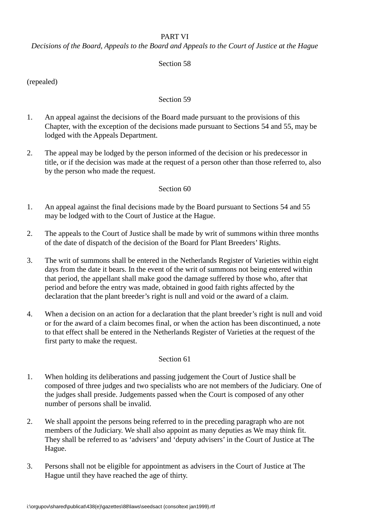# PART VI

*Decisions of the Board, Appeals to the Board and Appeals to the Court of Justice at the Hague*

## Section 58

(repealed)

### Section 59

- 1. An appeal against the decisions of the Board made pursuant to the provisions of this Chapter, with the exception of the decisions made pursuant to Sections 54 and 55, may be lodged with the Appeals Department.
- 2. The appeal may be lodged by the person informed of the decision or his predecessor in title, or if the decision was made at the request of a person other than those referred to, also by the person who made the request.

#### Section 60

- 1. An appeal against the final decisions made by the Board pursuant to Sections 54 and 55 may be lodged with to the Court of Justice at the Hague.
- 2. The appeals to the Court of Justice shall be made by writ of summons within three months of the date of dispatch of the decision of the Board for Plant Breeders' Rights.
- 3. The writ of summons shall be entered in the Netherlands Register of Varieties within eight days from the date it bears. In the event of the writ of summons not being entered within that period, the appellant shall make good the damage suffered by those who, after that period and before the entry was made, obtained in good faith rights affected by the declaration that the plant breeder's right is null and void or the award of a claim.
- 4. When a decision on an action for a declaration that the plant breeder's right is null and void or for the award of a claim becomes final, or when the action has been discontinued, a note to that effect shall be entered in the Netherlands Register of Varieties at the request of the first party to make the request.

- 1. When holding its deliberations and passing judgement the Court of Justice shall be composed of three judges and two specialists who are not members of the Judiciary. One of the judges shall preside. Judgements passed when the Court is composed of any other number of persons shall be invalid.
- 2. We shall appoint the persons being referred to in the preceding paragraph who are not members of the Judiciary. We shall also appoint as many deputies as We may think fit. They shall be referred to as 'advisers' and 'deputy advisers' in the Court of Justice at The Hague.
- 3. Persons shall not be eligible for appointment as advisers in the Court of Justice at The Hague until they have reached the age of thirty.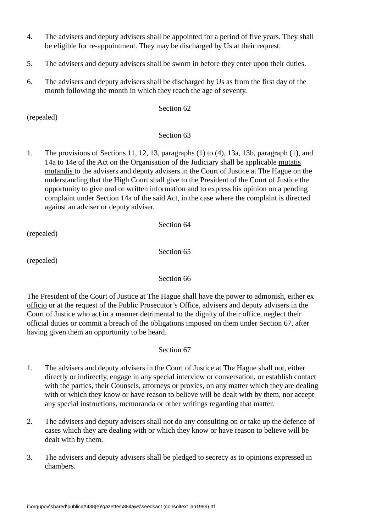- 4. The advisers and deputy advisers shall be appointed for a period of five years. They shall be eligible for re-appointment. They may be discharged by Us at their request.
- 5. The advisers and deputy advisers shall be sworn in before they enter upon their duties.
- 6. The advisers and deputy advisers shall be discharged by Us as from the first day of the month following the month in which they reach the age of seventy.

(repealed)

# Section 63

1. The provisions of Sections 11, 12, 13, paragraphs (1) to (4), 13a, 13b, paragraph (1), and 14a to 14e of the Act on the Organisation of the Judiciary shall be applicable mutatis mutandis to the advisers and deputy advisers in the Court of Justice at The Hague on the understanding that the High Court shall give to the President of the Court of Justice the opportunity to give oral or written information and to express his opinion on a pending complaint under Section 14a of the said Act, in the case where the complaint is directed against an adviser or deputy adviser.

(repealed)

Section 65

Section 64

(repealed)

### Section 66

The President of the Court of Justice at The Hague shall have the power to admonish, either ex officio or at the request of the Public Prosecutor's Office, advisers and deputy advisers in the Court of Justice who act in a manner detrimental to the dignity of their office, neglect their official duties or commit a breach of the obligations imposed on them under Section 67, after having given them an opportunity to be heard.

- 1. The advisers and deputy advisers in the Court of Justice at The Hague shall not, either directly or indirectly, engage in any special interview or conversation, or establish contact with the parties, their Counsels, attorneys or proxies, on any matter which they are dealing with or which they know or have reason to believe will be dealt with by them, nor accept any special instructions, memoranda or other writings regarding that matter.
- 2. The advisers and deputy advisers shall not do any consulting on or take up the defence of cases which they are dealing with or which they know or have reason to believe will be dealt with by them.
- 3. The advisers and deputy advisers shall be pledged to secrecy as to opinions expressed in chambers.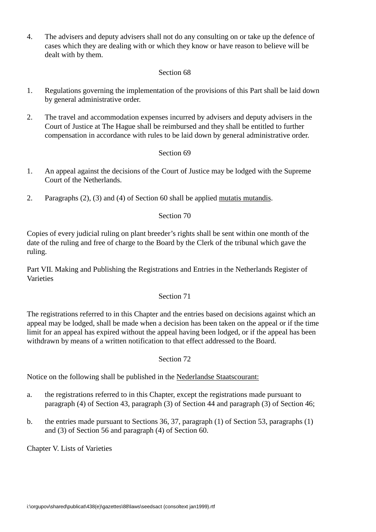4. The advisers and deputy advisers shall not do any consulting on or take up the defence of cases which they are dealing with or which they know or have reason to believe will be dealt with by them.

# Section 68

- 1. Regulations governing the implementation of the provisions of this Part shall be laid down by general administrative order.
- 2. The travel and accommodation expenses incurred by advisers and deputy advisers in the Court of Justice at The Hague shall be reimbursed and they shall be entitled to further compensation in accordance with rules to be laid down by general administrative order.

# Section 69

- 1. An appeal against the decisions of the Court of Justice may be lodged with the Supreme Court of the Netherlands.
- 2. Paragraphs (2), (3) and (4) of Section 60 shall be applied mutatis mutandis.

# Section 70

Copies of every judicial ruling on plant breeder's rights shall be sent within one month of the date of the ruling and free of charge to the Board by the Clerk of the tribunal which gave the ruling.

Part VII. Making and Publishing the Registrations and Entries in the Netherlands Register of Varieties

### Section 71

The registrations referred to in this Chapter and the entries based on decisions against which an appeal may be lodged, shall be made when a decision has been taken on the appeal or if the time limit for an appeal has expired without the appeal having been lodged, or if the appeal has been withdrawn by means of a written notification to that effect addressed to the Board.

### Section 72

Notice on the following shall be published in the Nederlandse Staatscourant:

- a. the registrations referred to in this Chapter, except the registrations made pursuant to paragraph (4) of Section 43, paragraph (3) of Section 44 and paragraph (3) of Section 46;
- b. the entries made pursuant to Sections 36, 37, paragraph (1) of Section 53, paragraphs (1) and (3) of Section 56 and paragraph (4) of Section 60.

Chapter V. Lists of Varieties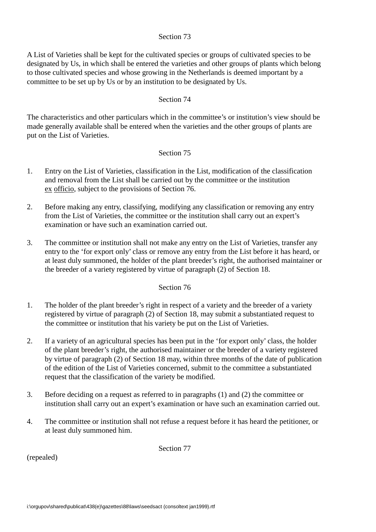A List of Varieties shall be kept for the cultivated species or groups of cultivated species to be designated by Us, in which shall be entered the varieties and other groups of plants which belong to those cultivated species and whose growing in the Netherlands is deemed important by a committee to be set up by Us or by an institution to be designated by Us.

### Section 74

The characteristics and other particulars which in the committee's or institution's view should be made generally available shall be entered when the varieties and the other groups of plants are put on the List of Varieties.

### Section 75

- 1. Entry on the List of Varieties, classification in the List, modification of the classification and removal from the List shall be carried out by the committee or the institution ex officio, subject to the provisions of Section 76.
- 2. Before making any entry, classifying, modifying any classification or removing any entry from the List of Varieties, the committee or the institution shall carry out an expert's examination or have such an examination carried out.
- 3. The committee or institution shall not make any entry on the List of Varieties, transfer any entry to the 'for export only' class or remove any entry from the List before it has heard, or at least duly summoned, the holder of the plant breeder's right, the authorised maintainer or the breeder of a variety registered by virtue of paragraph (2) of Section 18.

### Section 76

- 1. The holder of the plant breeder's right in respect of a variety and the breeder of a variety registered by virtue of paragraph (2) of Section 18, may submit a substantiated request to the committee or institution that his variety be put on the List of Varieties.
- 2. If a variety of an agricultural species has been put in the 'for export only' class, the holder of the plant breeder's right, the authorised maintainer or the breeder of a variety registered by virtue of paragraph (2) of Section 18 may, within three months of the date of publication of the edition of the List of Varieties concerned, submit to the committee a substantiated request that the classification of the variety be modified.
- 3. Before deciding on a request as referred to in paragraphs (1) and (2) the committee or institution shall carry out an expert's examination or have such an examination carried out.
- 4. The committee or institution shall not refuse a request before it has heard the petitioner, or at least duly summoned him.

(repealed)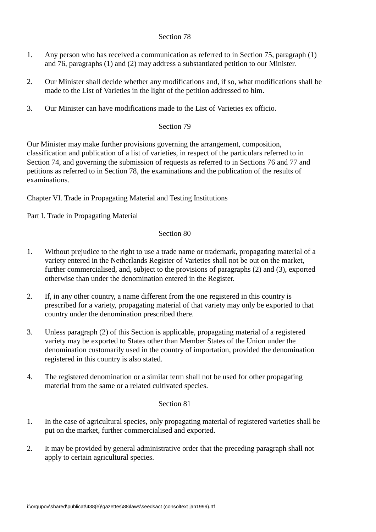- 1. Any person who has received a communication as referred to in Section 75, paragraph (1) and 76, paragraphs (1) and (2) may address a substantiated petition to our Minister.
- 2. Our Minister shall decide whether any modifications and, if so, what modifications shall be made to the List of Varieties in the light of the petition addressed to him.
- 3. Our Minister can have modifications made to the List of Varieties ex officio.

# Section 79

Our Minister may make further provisions governing the arrangement, composition, classification and publication of a list of varieties, in respect of the particulars referred to in Section 74, and governing the submission of requests as referred to in Sections 76 and 77 and petitions as referred to in Section 78, the examinations and the publication of the results of examinations.

Chapter VI. Trade in Propagating Material and Testing Institutions

Part I. Trade in Propagating Material

## Section 80

- 1. Without prejudice to the right to use a trade name or trademark, propagating material of a variety entered in the Netherlands Register of Varieties shall not be out on the market, further commercialised, and, subject to the provisions of paragraphs (2) and (3), exported otherwise than under the denomination entered in the Register.
- 2. If, in any other country, a name different from the one registered in this country is prescribed for a variety, propagating material of that variety may only be exported to that country under the denomination prescribed there.
- 3. Unless paragraph (2) of this Section is applicable, propagating material of a registered variety may be exported to States other than Member States of the Union under the denomination customarily used in the country of importation, provided the denomination registered in this country is also stated.
- 4. The registered denomination or a similar term shall not be used for other propagating material from the same or a related cultivated species.

- 1. In the case of agricultural species, only propagating material of registered varieties shall be put on the market, further commercialised and exported.
- 2. It may be provided by general administrative order that the preceding paragraph shall not apply to certain agricultural species.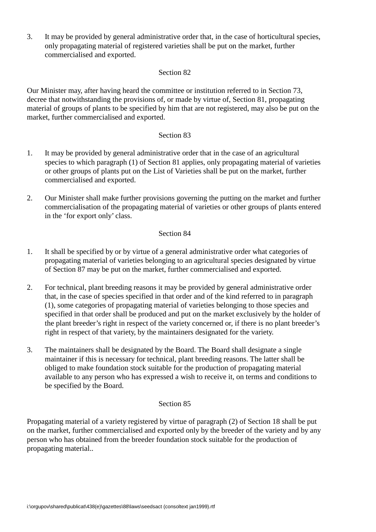3. It may be provided by general administrative order that, in the case of horticultural species, only propagating material of registered varieties shall be put on the market, further commercialised and exported.

## Section 82

Our Minister may, after having heard the committee or institution referred to in Section 73, decree that notwithstanding the provisions of, or made by virtue of, Section 81, propagating material of groups of plants to be specified by him that are not registered, may also be put on the market, further commercialised and exported.

# Section 83

- 1. It may be provided by general administrative order that in the case of an agricultural species to which paragraph (1) of Section 81 applies, only propagating material of varieties or other groups of plants put on the List of Varieties shall be put on the market, further commercialised and exported.
- 2. Our Minister shall make further provisions governing the putting on the market and further commercialisation of the propagating material of varieties or other groups of plants entered in the 'for export only' class.

# Section 84

- 1. It shall be specified by or by virtue of a general administrative order what categories of propagating material of varieties belonging to an agricultural species designated by virtue of Section 87 may be put on the market, further commercialised and exported.
- 2. For technical, plant breeding reasons it may be provided by general administrative order that, in the case of species specified in that order and of the kind referred to in paragraph (1), some categories of propagating material of varieties belonging to those species and specified in that order shall be produced and put on the market exclusively by the holder of the plant breeder's right in respect of the variety concerned or, if there is no plant breeder's right in respect of that variety, by the maintainers designated for the variety.
- 3. The maintainers shall be designated by the Board. The Board shall designate a single maintainer if this is necessary for technical, plant breeding reasons. The latter shall be obliged to make foundation stock suitable for the production of propagating material available to any person who has expressed a wish to receive it, on terms and conditions to be specified by the Board.

### Section 85

Propagating material of a variety registered by virtue of paragraph (2) of Section 18 shall be put on the market, further commercialised and exported only by the breeder of the variety and by any person who has obtained from the breeder foundation stock suitable for the production of propagating material..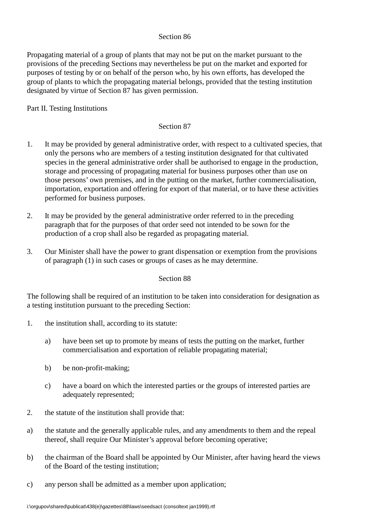Propagating material of a group of plants that may not be put on the market pursuant to the provisions of the preceding Sections may nevertheless be put on the market and exported for purposes of testing by or on behalf of the person who, by his own efforts, has developed the group of plants to which the propagating material belongs, provided that the testing institution designated by virtue of Section 87 has given permission.

# Part II. Testing Institutions

## Section 87

- 1. It may be provided by general administrative order, with respect to a cultivated species, that only the persons who are members of a testing institution designated for that cultivated species in the general administrative order shall be authorised to engage in the production, storage and processing of propagating material for business purposes other than use on those persons' own premises, and in the putting on the market, further commercialisation, importation, exportation and offering for export of that material, or to have these activities performed for business purposes.
- 2. It may be provided by the general administrative order referred to in the preceding paragraph that for the purposes of that order seed not intended to be sown for the production of a crop shall also be regarded as propagating material.
- 3. Our Minister shall have the power to grant dispensation or exemption from the provisions of paragraph (1) in such cases or groups of cases as he may determine.

### Section 88

The following shall be required of an institution to be taken into consideration for designation as a testing institution pursuant to the preceding Section:

- 1. the institution shall, according to its statute:
	- a) have been set up to promote by means of tests the putting on the market, further commercialisation and exportation of reliable propagating material;
	- b) be non-profit-making;
	- c) have a board on which the interested parties or the groups of interested parties are adequately represented;
- 2. the statute of the institution shall provide that:
- a) the statute and the generally applicable rules, and any amendments to them and the repeal thereof, shall require Our Minister's approval before becoming operative;
- b) the chairman of the Board shall be appointed by Our Minister, after having heard the views of the Board of the testing institution;
- c) any person shall be admitted as a member upon application;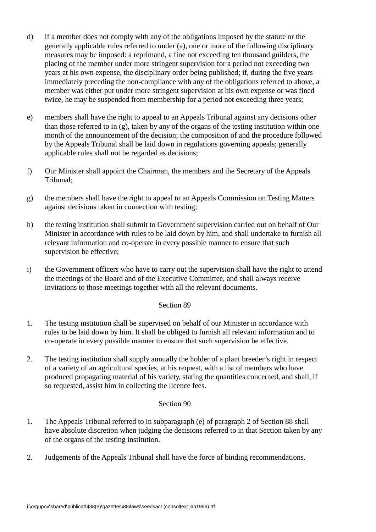- d) if a member does not comply with any of the obligations imposed by the statute or the generally applicable rules referred to under (a), one or more of the following disciplinary measures may be imposed: a reprimand, a fine not exceeding ten thousand guilders, the placing of the member under more stringent supervision for a period not exceeding two years at his own expense, the disciplinary order being published; if, during the five years immediately preceding the non-compliance with any of the obligations referred to above, a member was either put under more stringent supervision at his own expense or was fined twice, he may be suspended from membership for a period not exceeding three years;
- e) members shall have the right to appeal to an Appeals Tribunal against any decisions other than those referred to in (g), taken by any of the organs of the testing institution within one month of the announcement of the decision; the composition of and the procedure followed by the Appeals Tribunal shall be laid down in regulations governing appeals; generally applicable rules shall not be regarded as decisions;
- f) Our Minister shall appoint the Chairman, the members and the Secretary of the Appeals Tribunal;
- g) the members shall have the right to appeal to an Appeals Commission on Testing Matters against decisions taken in connection with testing;
- h) the testing institution shall submit to Government supervision carried out on behalf of Our Minister in accordance with rules to be laid down by him, and shall undertake to furnish all relevant information and co-operate in every possible manner to ensure that such supervision be effective;
- i) the Government officers who have to carry out the supervision shall have the right to attend the meetings of the Board and of the Executive Committee, and shall always receive invitations to those meetings together with all the relevant documents.

- 1. The testing institution shall be supervised on behalf of our Minister in accordance with rules to be laid down by him. It shall be obliged to furnish all relevant information and to co-operate in every possible manner to ensure that such supervision be effective.
- 2. The testing institution shall supply annually the holder of a plant breeder's right in respect of a variety of an agricultural species, at his request, with a list of members who have produced propagating material of his variety, stating the quantities concerned, and shall, if so requested, assist him in collecting the licence fees.

- 1. The Appeals Tribunal referred to in subparagraph (e) of paragraph 2 of Section 88 shall have absolute discretion when judging the decisions referred to in that Section taken by any of the organs of the testing institution.
- 2. Judgements of the Appeals Tribunal shall have the force of binding recommendations.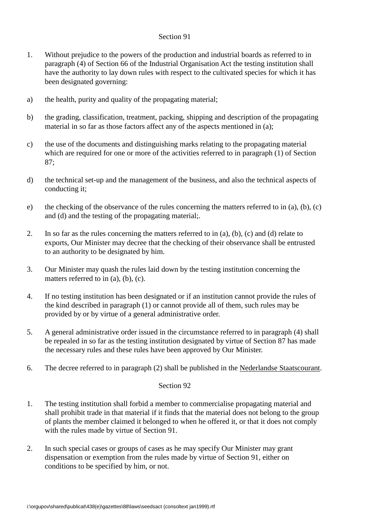- 1. Without prejudice to the powers of the production and industrial boards as referred to in paragraph (4) of Section 66 of the Industrial Organisation Act the testing institution shall have the authority to lay down rules with respect to the cultivated species for which it has been designated governing:
- a) the health, purity and quality of the propagating material;
- b) the grading, classification, treatment, packing, shipping and description of the propagating material in so far as those factors affect any of the aspects mentioned in (a);
- c) the use of the documents and distinguishing marks relating to the propagating material which are required for one or more of the activities referred to in paragraph (1) of Section 87;
- d) the technical set-up and the management of the business, and also the technical aspects of conducting it;
- e) the checking of the observance of the rules concerning the matters referred to in (a), (b), (c) and (d) and the testing of the propagating material;.
- 2. In so far as the rules concerning the matters referred to in (a), (b), (c) and (d) relate to exports, Our Minister may decree that the checking of their observance shall be entrusted to an authority to be designated by him.
- 3. Our Minister may quash the rules laid down by the testing institution concerning the matters referred to in (a), (b), (c).
- 4. If no testing institution has been designated or if an institution cannot provide the rules of the kind described in paragraph (1) or cannot provide all of them, such rules may be provided by or by virtue of a general administrative order.
- 5. A general administrative order issued in the circumstance referred to in paragraph (4) shall be repealed in so far as the testing institution designated by virtue of Section 87 has made the necessary rules and these rules have been approved by Our Minister.
- 6. The decree referred to in paragraph (2) shall be published in the Nederlandse Staatscourant.

- 1. The testing institution shall forbid a member to commercialise propagating material and shall prohibit trade in that material if it finds that the material does not belong to the group of plants the member claimed it belonged to when he offered it, or that it does not comply with the rules made by virtue of Section 91.
- 2. In such special cases or groups of cases as he may specify Our Minister may grant dispensation or exemption from the rules made by virtue of Section 91, either on conditions to be specified by him, or not.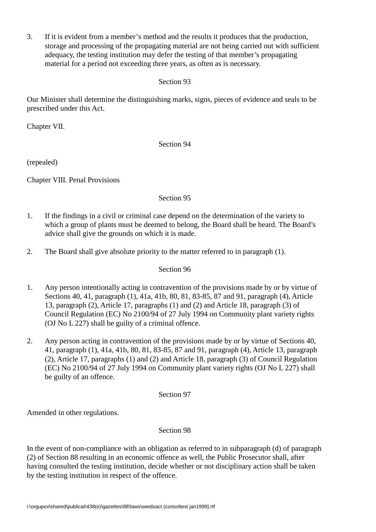3. If it is evident from a member's method and the results it produces that the production, storage and processing of the propagating material are not being carried out with sufficient adequacy, the testing institution may defer the testing of that member's propagating material for a period not exceeding three years, as often as is necessary.

Section 93

Our Minister shall determine the distinguishing marks, signs, pieces of evidence and seals to be prescribed under this Act.

Chapter VII.

# Section 94

(repealed)

Chapter VIII. Penal Provisions

# Section 95

- 1. If the findings in a civil or criminal case depend on the determination of the variety to which a group of plants must be deemed to belong, the Board shall be heard. The Board's advice shall give the grounds on which it is made.
- 2. The Board shall give absolute priority to the matter referred to in paragraph (1).

## Section 96

- 1. Any person intentionally acting in contravention of the provisions made by or by virtue of Sections 40, 41, paragraph (1), 41a, 41b, 80, 81, 83-85, 87 and 91, paragraph (4), Article 13, paragraph (2), Article 17, paragraphs (1) and (2) and Article 18, paragraph (3) of Council Regulation (EC) No 2100/94 of 27 July 1994 on Community plant variety rights (OJ No L 227) shall be guilty of a criminal offence.
- 2. Any person acting in contravention of the provisions made by or by virtue of Sections 40, 41, paragraph (1), 41a, 41b, 80, 81, 83-85, 87 and 91, paragraph (4), Article 13, paragraph (2), Article 17, paragraphs (1) and (2) and Article 18, paragraph (3) of Council Regulation (EC) No 2100/94 of 27 July 1994 on Community plant variety rights (OJ No L 227) shall be guilty of an offence.

### Section 97

Amended in other regulations.

# Section 98

In the event of non-compliance with an obligation as referred to in subparagraph (d) of paragraph (2) of Section 88 resulting in an economic offence as well, the Public Prosecutor shall, after having consulted the testing institution, decide whether or not disciplinary action shall be taken by the testing institution in respect of the offence.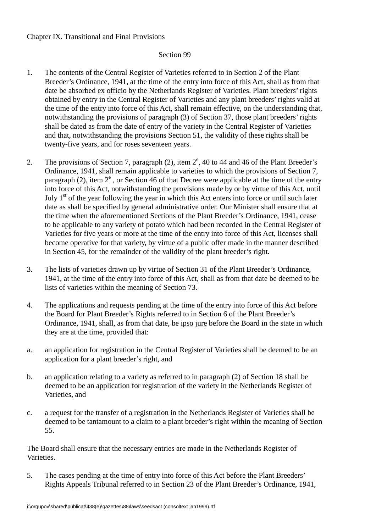# Chapter IX. Transitional and Final Provisions

# Section 99

- 1. The contents of the Central Register of Varieties referred to in Section 2 of the Plant Breeder's Ordinance, 1941, at the time of the entry into force of this Act, shall as from that date be absorbed ex officio by the Netherlands Register of Varieties. Plant breeders' rights obtained by entry in the Central Register of Varieties and any plant breeders' rights valid at the time of the entry into force of this Act, shall remain effective, on the understanding that, notwithstanding the provisions of paragraph (3) of Section 37, those plant breeders' rights shall be dated as from the date of entry of the variety in the Central Register of Varieties and that, notwithstanding the provisions Section 51, the validity of these rights shall be twenty-five years, and for roses seventeen years.
- 2. The provisions of Section 7, paragraph (2), item  $2^e$ , 40 to 44 and 46 of the Plant Breeder's Ordinance, 1941, shall remain applicable to varieties to which the provisions of Section 7, paragraph (2), item  $2^e$ , or Section 46 of that Decree were applicable at the time of the entry into force of this Act, notwithstanding the provisions made by or by virtue of this Act, until July  $1<sup>st</sup>$  of the year following the year in which this Act enters into force or until such later date as shall be specified by general administrative order. Our Minister shall ensure that at the time when the aforementioned Sections of the Plant Breeder's Ordinance, 1941, cease to be applicable to any variety of potato which had been recorded in the Central Register of Varieties for five years or more at the time of the entry into force of this Act, licenses shall become operative for that variety, by virtue of a public offer made in the manner described in Section 45, for the remainder of the validity of the plant breeder's right.
- 3. The lists of varieties drawn up by virtue of Section 31 of the Plant Breeder's Ordinance, 1941, at the time of the entry into force of this Act, shall as from that date be deemed to be lists of varieties within the meaning of Section 73.
- 4. The applications and requests pending at the time of the entry into force of this Act before the Board for Plant Breeder's Rights referred to in Section 6 of the Plant Breeder's Ordinance, 1941, shall, as from that date, be ipso jure before the Board in the state in which they are at the time, provided that:
- a. an application for registration in the Central Register of Varieties shall be deemed to be an application for a plant breeder's right, and
- b. an application relating to a variety as referred to in paragraph (2) of Section 18 shall be deemed to be an application for registration of the variety in the Netherlands Register of Varieties, and
- c. a request for the transfer of a registration in the Netherlands Register of Varieties shall be deemed to be tantamount to a claim to a plant breeder's right within the meaning of Section 55.

The Board shall ensure that the necessary entries are made in the Netherlands Register of Varieties.

5. The cases pending at the time of entry into force of this Act before the Plant Breeders' Rights Appeals Tribunal referred to in Section 23 of the Plant Breeder's Ordinance, 1941,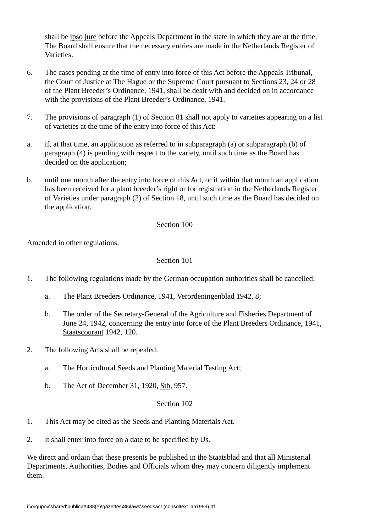shall be ipso jure before the Appeals Department in the state in which they are at the time. The Board shall ensure that the necessary entries are made in the Netherlands Register of **Varieties** 

- 6. The cases pending at the time of entry into force of this Act before the Appeals Tribunal, the Court of Justice at The Hague or the Supreme Court pursuant to Sections 23, 24 or 28 of the Plant Breeder's Ordinance, 1941, shall be dealt with and decided on in accordance with the provisions of the Plant Breeder's Ordinance, 1941.
- 7. The provisions of paragraph (1) of Section 81 shall not apply to varieties appearing on a list of varieties at the time of the entry into force of this Act:
- a. if, at that time, an application as referred to in subparagraph (a) or subparagraph (b) of paragraph (4) is pending with respect to the variety, until such time as the Board has decided on the application;
- b. until one month after the entry into force of this Act, or if within that month an application has been received for a plant breeder's right or for registration in the Netherlands Register of Varieties under paragraph (2) of Section 18, until such time as the Board has decided on the application.

# Section 100

Amended in other regulations.

# Section 101

- 1. The following regulations made by the German occupation authorities shall be cancelled:
	- a. The Plant Breeders Ordinance, 1941, Verordeningenblad 1942, 8;
	- b. The order of the Secretary-General of the Agriculture and Fisheries Department of June 24, 1942, concerning the entry into force of the Plant Breeders Ordinance, 1941, Staatscourant 1942, 120.
- 2. The following Acts shall be repealed:
	- a. The Horticultural Seeds and Planting Material Testing Act;
	- b. The Act of December 31, 1920, Stb, 957.

### Section 102

- 1. This Act may be cited as the Seeds and Planting Materials Act.
- 2. It shall enter into force on a date to be specified by Us.

We direct and ordain that these presents be published in the Staatsblad and that all Ministerial Departments, Authorities, Bodies and Officials whom they may concern diligently implement them.